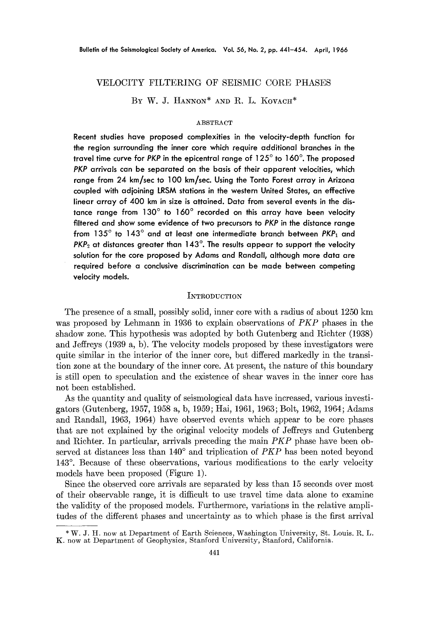# VELOCITY FILTERING OF SEISMIC CORE PHASES

BY W. J. HANNON\* AND R. L.  $Kov<sub>ACH</sub>$ \*

#### ABSTRACT

**Recent studies have proposed complexities in the velocity-depth function for the region surrounding the inner core which require additional branches in the travel time curve for** *PKP* **in the epicentral range of 125 ° to 160 °. The proposed**  *PKP* **arrivals can be separated on the basis of their apparent velocities, which range from 24 km/sec to 100 km/sec. Using the Tonto Forest array in Arizona coupled with adjoining LRSM stations in the western United States, an effective linear array of 400 km in size is attained. Data from several events in the dis**tance range from 130° to 160° recorded on this array have been velocity **filtered and show some evidence of two precursors to** *PKP* **in the distance range from 135** *°* **to 143 ° and at least one intermediate branch between** *PKP1* **and**  *PKP*<sub>2</sub> at distances greater than 143<sup>°</sup>. The results appear to support the velocity **solution for the core proposed by Adams and Randall, although more data are required before a conclusive discrimination can be made between competing velocity models.** 

#### **INTRODUCTION**

The presence of a small, possibly solid, inner core with a radius of about 1250 km was proposed by Lehmann in 1936 to explain observations of *PKP* phases in the shadow zone. This hypothesis was adopted by both Gutenberg and Richter (1938) and Jeffreys (1939 a, b). The velocity models proposed by these investigators were quite similar in the interior of the inner core, but differed markedly in the transition zone at the boundary of the inner core. At present, the nature of this boundary is still open to speculation and the existence of shear waves in the inner core has not been established.

As the quantity and quality of seismological data have increased, various investigators (Gutenberg, 1957, 1958 a, b, 1959; Hal, 1961, 1963; Bolt, 1962, 1964; Adams and Randall, 1963, 1964) have observed events which appear to be core phases that are not explained by the original velocity models of Jeffreys and Gutenberg and Richter. In particular, arrivals preceding the main *PKP* phase have been observed at distances less than 140° and triplication of *PKP* has been noted beyond 143<sup>°</sup>. Because of these observations, various modifications to the early velocity models have been proposed (Figure 1).

Since the observed core arrivals are separated by less than 15 seconds over most of their observable range, it is difficult to use travel time data alone to examine the validity of the proposed models. Furthermore, variations in the relative amplitudes of the different phases and uncertainty as to which phase is the first arrival

<sup>\*</sup> W. J. H. now at Department of Earth Sciences, Washington University, St. Louis. R. L. K. now at Department of Geophysics, Stanford University, Stanford, California.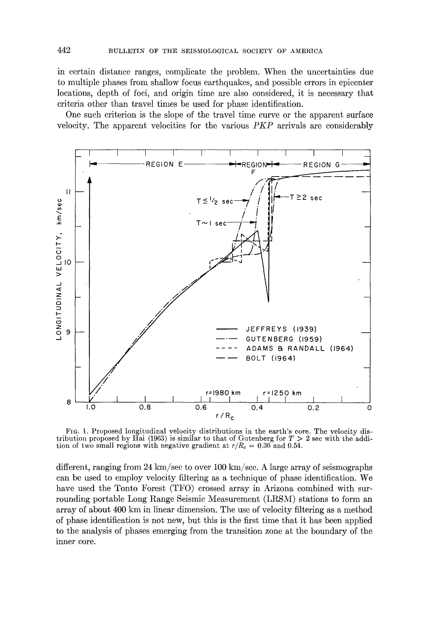in certain distance ranges, complicate the problem. When the uncertainties due to multiple phases from shallow focus earthquakes, and possible errors in epicenter locations, depth of foci, and origin time are also considered, it is necessary that criteria other than travel times be used for phase identification.

One such criterion is the slope of the travel time curve or the apparent surface velocity. The apparent velocities for the various *PKP* arrivals are considerably



FIG. 1. Proposed longitudinal velocity distributions in the earth's core. The velocity distribution proposed by Hai (1963) is similar to that of Gutenberg for  $T > 2$  sec with the addition of two small regions with negative gradient at  $r/R<sub>c</sub> = 0.36$  and 0.54.

different, ranging from 24 km/sec to over  $100 \text{ km/sec}$ . A large array of seismographs can be used to employ velocity filtering as a technique of phase identification. We have used the Tonto Forest (TFO) crossed array in Arizona combined with surrounding portable Long Range Seismic Measurement (LRSM) stations to form an array of about 400 km in linear dimension. The use of velocity filtering as a method of phase identification is not new, but this is the first time that it has been applied to the analysis of phases emerging from the transition zone at the boundary of the inner core.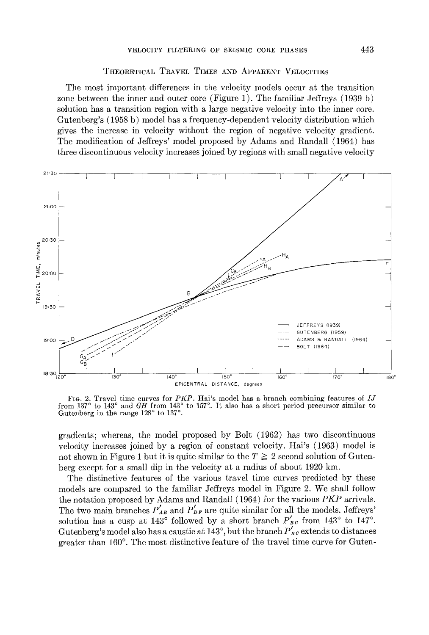### **THEORETICAL TRAVEL TIMES AND APPARENT VELOCITIES**

**The most important differences in the velocity models occur at the transition zone between the inner and outer core (Figure 1). The familiar Jeffreys (1939 b) solution has a transition region with a large negative velocity into the inner core. Gutenberg's (1958 b) model has a frequency-dependent velocity distribution which gives the increase in velocity without the region of negative velocity gradient. The modification of Jeffreys' model proposed by Adams and Randall (1964) has three discontinuous velocity increases joined by regions with small negative velocity** 



**FIG. 2. Travel time curves for** *PKP.* **Hai's model has a branch combining features of** *IJ*  from  $137^{\circ}$  to  $143^{\circ}$  and *GH* from  $143^{\circ}$  to  $157^{\circ}$ . It also has a short period precursor similar to Gutenberg in the range  $128^{\circ}$  to  $137^{\circ}$ .

**gradients; whereas, the model proposed by Bolt (1962) has two discontinuous velocity increases joined by a region of constant velocity. Hal's (1963) model is**  not shown in Figure 1 but it is quite similar to the  $T \geq 2$  second solution of Guten**berg except for a small dip in the velocity at a radius of about 1920 km.** 

**The distinctive features of the various travel time curves predicted by these models are compared to the familiar Jeffreys model in Figure 2. We shall follow the notation proposed by Adams and Randall (1964) for the various** *PKP* **arrivals.**  The two main branches  $P'_{AB}$  and  $P'_{DF}$  are quite similar for all the models. Jeffreys' solution has a cusp at  $143^{\circ}$  followed by a short branch  $P'_{BC}$  from  $143^{\circ}$  to  $147^{\circ}$ . Gutenberg's model also has a caustic at  $143^\circ$ , but the branch  $P'_{BC}$  extends to distances greater than 160°. The most distinctive feature of the travel time curve for Guten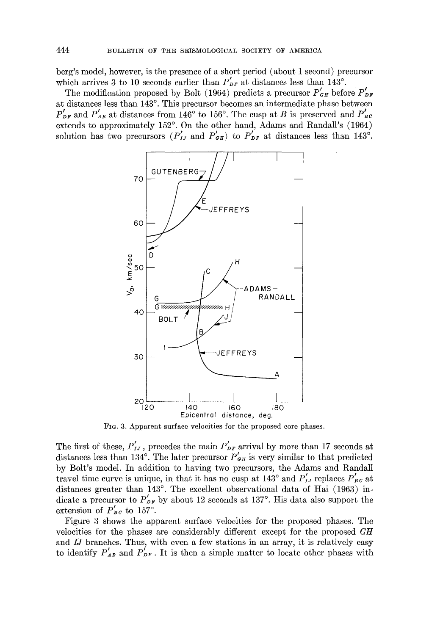berg's model, however, is the presence of a short period (about 1 second) precursor which arrives 3 to 10 seconds earlier than  $P'_{DF}$  at distances less than 143<sup>°</sup>.

The modification proposed by Bolt (1964) predicts a precursor  $P'_{GH}$  before  $P'_{DF}$ at distances less than 143°. This precursor becomes an intermediate phase between  $P'_{DF}$  and  $P'_{AB}$  at distances from 146<sup>°</sup> to 156<sup>°</sup>. The cusp at B is preserved and  $P'_{BC}$ extends to approximately 152°. On the other hand, Adams and Randall's (1964) solution has two precursors  $(P'_{IJ}$  and  $P'_{\sigma H}$  to  $P'_{DF}$  at distances less than 143<sup>o</sup>.



FIG. 3. Apparent surface velocities for the proposed core phases.

The first of these,  $P'_{IJ}$ , precedes the main  $P'_{DF}$  arrival by more than 17 seconds at distances less than 134°. The later precursor  $P'_{GH}$  is very similar to that predicted by Bolt's model. In addition to having two precursors, the Adams and Randall travel time curve is unique, in that it has no cusp at 143<sup>°</sup> and  $P'_{IJ}$  replaces  $P'_{BC}$  at distances greater than  $143^\circ$ . The excellent observational data of Hai (1963) indicate a precursor to  $P'_{DF}$  by about 12 seconds at 137°. His data also support the extension of  $P'_{BC}$  to 157°.

Figure 3 shows the apparent surface velocities for the proposed phases. The velocities for the phases are considerably different except for the proposed *GH*  and *IJ* branches. Thus, with even a few stations in an array, it is relatively easy to identify  $P'_{AB}$  and  $P'_{DF}$ . It is then a simple matter to locate other phases with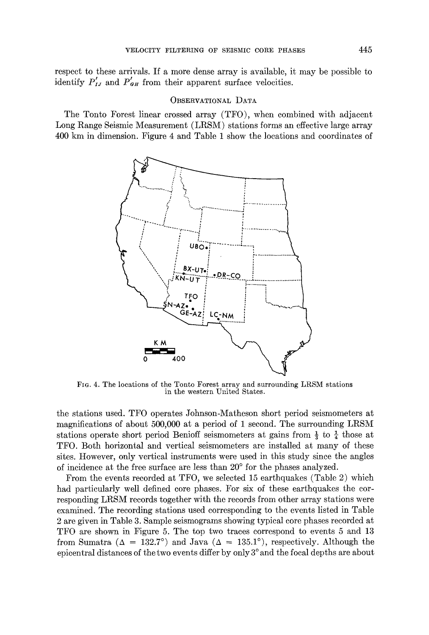respect to these arrivals. If a more dense array is available, it may be possible to identify  $P'_{IJ}$  and  $P'_{GH}$  from their apparent surface velocities.

# OBSERVATIONAL DATA

The Tonto Forest linear crossed array (TFO), when combined with adjacent Long Range Seismic Measurement (LRSM) stations forms an effective large array 400 km in dimension. Figure 4 and Table 1 show the locations and coordinates of



FIG. 4. The locations of the Tonto Forest array and surrounding LRSM stations in the western United States.

the stations used. TFO operates Johnson-Matheson short period seismometers at magnifications of about 500,000 at a period of 1 second. The surrounding LRSM stations operate short period Benioff seismometers at gains from  $\frac{1}{3}$  to  $\frac{1}{4}$  those at TFO. Both horizontal and vertical seismometers are installed at many of these sites. However, only vertical instruments were used in this study since the angles of incidence at the free surface are less than  $20^{\circ}$  for the phases analyzed.

From the events recorded at TFO, we selected 15 earthquakes (Table 2) which had particularly well defined core phases. For six of these earthquakes the corresponding LRSM records together with the records from other array stations were examined. The recording stations used corresponding to the events listed in Table 2 are given in Table 3. Sample seismograms showing typical core phases recorded at TFO are shown in Figure 5. The top two traces correspond to events 5 and 13 from Sumatra ( $\Delta = 132.7^{\circ}$ ) and Java ( $\Delta = 135.1^{\circ}$ ), respectively. Although the epicentral distances of the two events differ by only 3° and the focal depths are about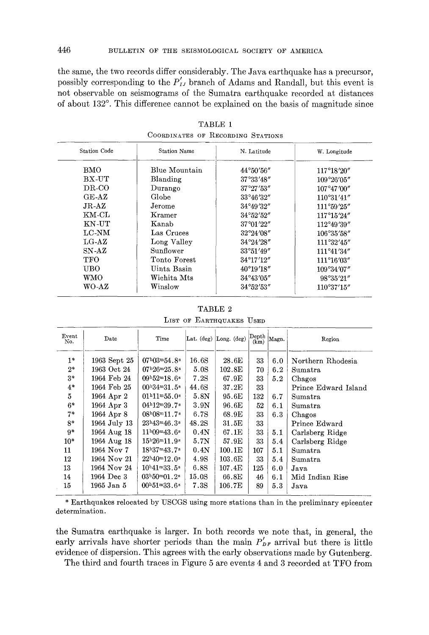the same, the two records differ considerably. The Java earthquake has a precursor, possibly corresponding to the  $P'_{IJ}$  branch of Adams and Randall, but this event is not observable on seismograms of the Sumatra earthquake recorded at distances of about 132°. This difference cannot be explained on the basis of magnitude since

| <b>Station Code</b>   | <b>Station Name</b> | N. Latitude         | W. Longitude         |  |
|-----------------------|---------------------|---------------------|----------------------|--|
| BMO                   | Blue Mountain       | $44^{\circ}50'56''$ | $117^{\circ}18'20''$ |  |
| BX-UT                 | Blanding            | 37°33'48"           | $109^{\circ}26'05''$ |  |
| DR-CO                 | Durango             | 37°27'53''          | 107°47'00"           |  |
| $GE-AZ$               | Globe               | 33°46'32"           | 110°31'41''          |  |
| $_{\rm JR\text{-}AZ}$ | Jerome              | 34°49'32"           | $111^{\circ}59'25''$ |  |
| KM-CL                 | Kramer              | $34^{\circ}52'52''$ | 117°15'24"           |  |
| KN-UT                 | Kanab               | 37°01'22''          | $112^{\circ}49'39''$ |  |
| $_{\rm{LC-NM}}$       | Las Cruces          | 32°24′08″           | 106°35'58"           |  |
| $LG-AZ$               | Long Valley         | $34^{\circ}24'28''$ | 111°32'45"           |  |
| $SN-AZ$               | Sunflower           | 33°51′49″           | 111°41'34"           |  |
| TFO                   | Tonto Forest        | $34^{\circ}17'12''$ | $111^{\circ}16'03''$ |  |
| <b>UBO</b>            | Uinta Basin         | $40^{\circ}19'18''$ | 109°34'07"           |  |
| WMO                   | Wichita Mts         | 34°43'05"           | 98°35'21"            |  |
| $WO-AZ$               | Winslow             | 34°52'53"           | 110°37'15"           |  |

TABLE **1**  COORDINATES OF RECORDING STATIONS

TABLE 2 LIST OF EARTHQUAKES USED

| Event<br>No. | Date         | Time                                        |                  | Lat. $deg)$ Long. $deg)$ | $\left  \text{Depth} \right\rangle$<br>$(\mathbf{km})$ | Magn. | Region               |
|--------------|--------------|---------------------------------------------|------------------|--------------------------|--------------------------------------------------------|-------|----------------------|
| $1*$         | 1963 Sept 25 | $07h03m54.8s$                               | $16.6\mathrm{S}$ | 28.6E                    | 33                                                     | 6.0   | Northern Rhodesia    |
| $2*$         | 1963 Oct 24  | $07^{\rm h}26^{\rm m}25.8^{\rm s}$          | 5.08             | 102.8 <sub>E</sub>       | 70                                                     | 6.2   | Sumatra              |
| $3*$         | 1964 Feb 24  | $09h52m18.6s$                               | 7.28             | 67.9E                    | 33                                                     | 5.2   | Chagos               |
| $4*$         | 1964 Feb 25  | $00*34m31.5*$                               | 44.6S            | 37.2E                    | 33                                                     |       | Prince Edward Island |
| 5            | 1964 Apr 2   | $01^{\rm h}11^{\rm m}55.0^{\rm s}$          | 5.8N             | 95.6E                    | 132                                                    | 6.7   | Sumatra              |
| $6*$         | 1964 Apr 3   | 04h12m39.7s                                 | 3.9N             | 96.6E                    | 52                                                     | 6.1   | Sumatra              |
| $7*$         | 1964 Apr 8   | 08h08m11.7s                                 | 6.7S             | 68.9 <sub>E</sub>        | 33                                                     | 6.3   | Chagos               |
| $8*$         | 1964 July 13 | 23h43m46.3s                                 | 48.2S            | 31.5E                    | 33                                                     |       | Prince Edward        |
| $9*$         | 1964 Aug 18  | $11h09m43.6s$                               | 0.4N             | 67.1E                    | 33                                                     | 5.1   | Carlsberg Ridge      |
| $10*$        | 1964 Aug 18  | $15^{\rm h}26^{\rm m}11.9^{\rm s}$          | $5.7\mathrm{N}$  | 57.9E                    | 33                                                     | 5.4   | Carlsberg Ridge      |
| 11           | 1964 Nov 7   | 18h37m43.7s                                 | 0.4N             | $100.1\mathrm{E}$        | 107                                                    | 5.1   | Sumatra              |
| 12           | 1964 Nov 21  | $22^{\rm h}40^{\rm m}12.0^{\rm s}$          | 4.98             | $103.6\mathrm{E}$        | 33                                                     | 5.4   | Sumatra              |
| 13           | 1964 Nov 24  | $10^{h}41^{m}33.5^{s}$                      | 6.8S             | $107.4\mathrm{E}$        | 125                                                    | 6.0   | Java.                |
| 14           | 1964 Dec 3   | $03^{\rm h}50^{\rm m}01.2^{\rm s}$          | 15.08            | 66.8 <sup>E</sup>        | 46                                                     | 6.1   | Mid Indian Rise      |
| 15           | 1965 Jan 5   | $00^{\text{h}}51^{\text{m}}33.6^{\text{s}}$ | 7.3S             | 106.7 <sub>E</sub>       | 89                                                     | 5.3   | Java                 |
|              |              |                                             |                  |                          |                                                        |       |                      |

\* Earthquakes relocated by USCGS using more stations than in the preliminary epicenter determination.

the Sumatra earthquake is larger. In both records we note that, in general, the early arrivals have shorter periods than the main  $P'_{\textit{DP}}$  arrival but there is little evidence of dispersion. This agrees with the early observations made by Gutenberg.

The third and fourth traces in Figure 5 are events 4 and 3 recorded at TFO from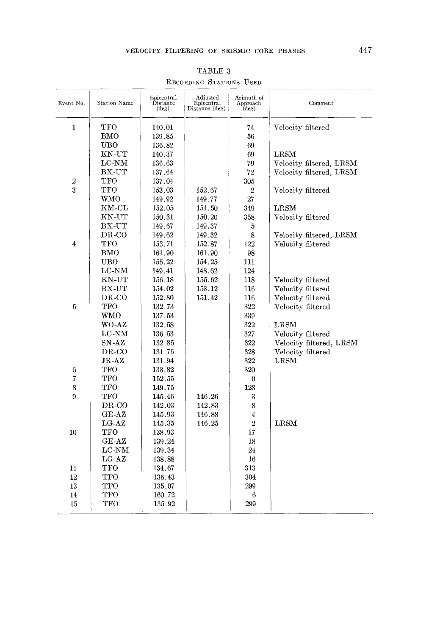| Event No.      | Station Name          | Epicentral<br>Distance<br>$(\text{deg})$ | Adjusted<br>Epicentral<br>Distance (deg) | Azimuth of<br>Approach<br>(deg) | Comment                 |
|----------------|-----------------------|------------------------------------------|------------------------------------------|---------------------------------|-------------------------|
| $\mathbf{1}$   | TFO                   | 140.01                                   |                                          | 74                              | Velocity filtered       |
|                | BMO                   | 139.85                                   |                                          | 56                              |                         |
|                | <b>UBO</b>            | 136.82                                   |                                          | 69                              |                         |
|                | KN-UT                 | 140.37                                   |                                          | 69                              | <b>LRSM</b>             |
|                | $_{\rm{LC-NM}}$       | 136.63                                   |                                          | 79                              | Velocity filtered, LRSM |
|                | BX-UT                 | 137.64                                   |                                          | 72                              | Velocity filtered, LRSM |
| $\overline{2}$ | TFO                   | 137.04                                   |                                          | 305                             |                         |
| 3              | <b>TFO</b>            | 153.03                                   | 152.67                                   | $\boldsymbol{2}$                | Velocity filtered       |
|                | <b>WMO</b>            | 149.92                                   | 149.77                                   | 27                              |                         |
|                | $KM$ -CL              | 152.05                                   | 151.50                                   | 349                             | LRSM                    |
|                | KN-UT                 | 150.31                                   | 150.20                                   | 358                             | Velocity filtered       |
|                | BX-UT                 | 149.67                                   | 149.37                                   | 5                               |                         |
|                | $DR$ -CO              | 149.62                                   | 149.32                                   | 8                               | Velocity filtered, LRSM |
| $\overline{4}$ | TFO                   | 153.71                                   | 152.87                                   | 122                             | Velocity filtered       |
|                | BMO                   | 161.90                                   | 161.90                                   | 98                              |                         |
|                | <b>UBO</b>            | 155.22                                   | 154.25                                   | 111                             |                         |
|                | $_{\rm LC\text{-}NM}$ | 149.41                                   | 148.62                                   | 124                             |                         |
|                | KN-UT                 | 156.18                                   | 155.62                                   | 118                             | Velocity filtered       |
|                | BX-UT                 | 154.02                                   | 153.12                                   | 116                             | Velocity filtered       |
|                | $DR$ -CO              | 152.80                                   | 151.42                                   | 116                             | Velocity filtered       |
| 5              | TFO                   | 132.73                                   |                                          | 322                             | Velocity filtered       |
|                | WMO                   | 137.53                                   |                                          | 339                             |                         |
|                | <b>WO-AZ</b>          | 132.58                                   |                                          | $322\,$                         | LRSM                    |
|                | LC-NM                 | 136.53                                   |                                          | 327                             | Velocity filtered       |
|                | $SN-AZ$               | 132.85                                   |                                          | 322                             | Velocity filtered, LRSM |
|                | $DR$ -CO              | 131.75                                   |                                          | 328                             | Velocity filtered       |
|                | $JR-AZ$               | 131.94                                   |                                          | 322                             | LRSM                    |
| 6              | <b>TFO</b>            | 133.82                                   |                                          | 320                             |                         |
| 7              | TFO                   | 152.55                                   |                                          | $\bf{0}$                        |                         |
| 8              | <b>TFO</b>            | 149.75                                   |                                          | 128                             |                         |
| 9              | <b>TFO</b>            | 145.46                                   | 146.26                                   | 3                               |                         |
|                | $_{\rm DR-CO}$        | 142.03                                   | 142.83                                   | 8                               |                         |
|                | $GE-AZ$               | 145.93                                   | 146.88                                   | 4                               |                         |
|                | $_{\rm LG\text{-}AZ}$ | 145.35                                   | 146.25                                   | $\,2$                           | <b>LRSM</b>             |
| 10             | <b>TFO</b>            | 138.93                                   |                                          | 17                              |                         |
|                | $GE-AZ$               | 139.24                                   |                                          | 18                              |                         |
|                | $LC-NM$               | 139.34                                   |                                          | 24                              |                         |
|                | $LG-AZ$               | 138.88                                   |                                          | 16                              |                         |
| 11             | TFO                   | 134.67                                   |                                          | 313                             |                         |
| 12             | <b>TFO</b>            | 136.43                                   |                                          | 304                             |                         |
| 13             | <b>TFO</b>            | 135.07                                   |                                          | 299                             |                         |
| 14             | TFO                   | 160.72                                   |                                          | 6                               |                         |
| 15             | TFO                   | 135.92                                   |                                          | 299                             |                         |

TABLE **3**  RECORDING STATIONS USED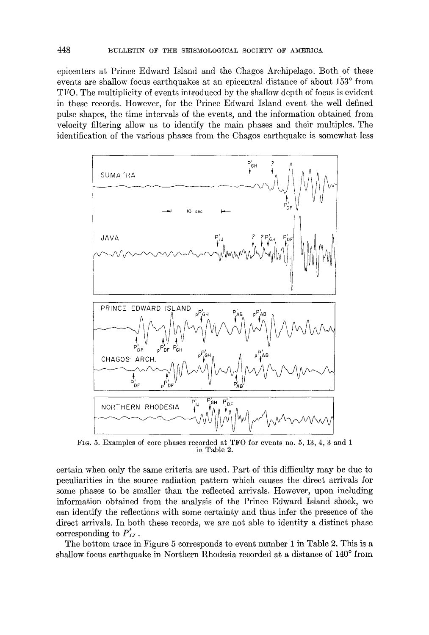epicenters at Prince Edward Island and the Chagos Archipelago. Both of these events are shallow focus earthquakes at an epicentral distance of about 153<sup>°</sup> from TFO. The multiplicity of events introduced by the shallow depth of focus is evident in these records. However, for the Prince Edward Island event the well defined pulse shapes, the time intervals of the events, and the information obtained from velocity filtering allow us to identify the main phases and their multiples. The identification of the various phases from the Chagos earthquake is somewhat less



FIG. 5. Examples of core phases recorded at TFO for events no. 5, 13, 4, 3 and 1 in Table 2.

certain when only the same criteria are used. Part of this difficulty may be due to peculiarities in the source radiation pattern which causes the direct arrivals for some phases to be smaller than the reflected arrivals. However, upon including information obtained from the analysis of the Prince Edward Island shock, we can identify the reflections with some certainty and thus infer the presence of the direct arrivals. In both these records, we are not able to identity a distinct phase corresponding to  $P'_{IJ}$ .

The bottom trace in Figure 5 corresponds to event number 1 in Table 2. This is a shallow focus earthquake in Northern Rhodesia recorded at a distance of 140° from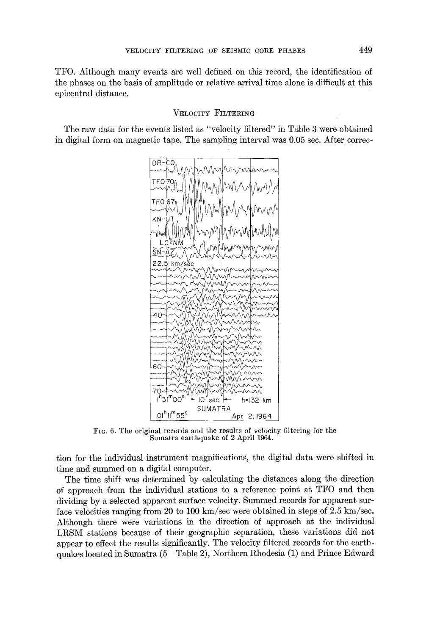TFO. Although many events are well defined on this record, the identification of the phases on the basis of amplitude or relative arrival time alone is difficult at this epieentral distance.

## VELOCITY FILTERING

The raw data for the events listed as "velocity filtered" in Table 3 were obtained in digital form on magnetic tape. The sampling interval was 0.05 sec. After correc-



FIG. 6. The original records and the results of velocity filtering for the Sumatra earthquake of 2 April 1964.

tion for the individual instrument magnifications, the digital data were shifted in time and summed on a digital computer.

The time shift was determined by calculating the distances along the direction of approach from the individual stations to a reference point at TFO and then dividing by a selected apparent surface velocity. Summed records for apparent surface velocities ranging from 20 to 100 km/sec were obtained in steps of 2.5 km/sec. Although there were variations in the direction of approach at the individual LRSM stations because of their geographic separation, these variations did not appear to effect the results significantly. The velocity filtered records for the earthquakes located in Sumatra (5-Table 2), Northern Rhodesia (1) and Prince Edward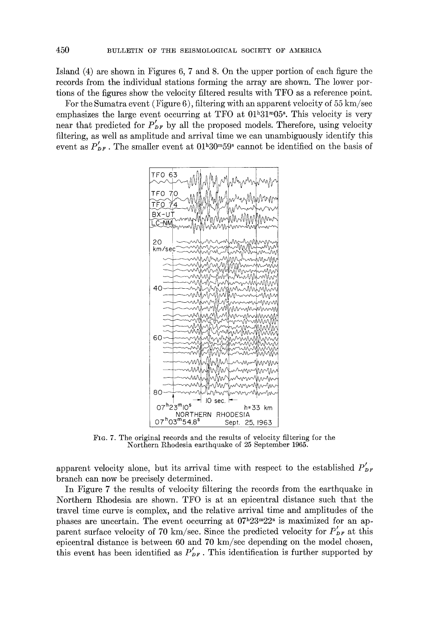Island (4) are shown in Figures 6, 7 and 8. On the upper portion of each figure the records from the individual stations forming the array are shown. The lower portions of the figures show the velocity filtered results with TFO as a reference point.

For the Sumatra event (Figure 6), filtering with an apparent velocity of  $55 \text{ km/sec}$ emphasizes the large event occurring at TFO at  $0^{1h}31^m05^s$ . This velocity is very near that predicted for  $P'_{DF}$  by all the proposed models. Therefore, using velocity filtering, as well as amplitude and arrival time we can unambiguously identify this event as  $P'_{DF}$ . The smaller event at 01<sup>h</sup>30<sup>m</sup>59<sup>s</sup> cannot be identified on the basis of



FIG. 7. The original records and the results of velocity filtering for the Northern Rhodesia earthquake of 25 September 1965.

apparent velocity alone, but its arrival time with respect to the established  $P_{DF}^{\dagger}$ branch can now be precisely determined.

In Figure 7 the results of velocity filtering the records from the earthquake in Northern Rhodesia are shown. TFO is at an epicentral distance such that the travel time curve is complex, and the relative arrival time and amplitudes of the phases are uncertain. The event occurring at  $07^{\text{h}}23^{\text{m}}22^{\text{s}}$  is maximized for an apparent surface velocity of 70 km/sec. Since the predicted velocity for  $P'_{p,r}$  at this epieentral distance is between 60 and 70 km/sec depending on the model chosen, this event has been identified as  $P'_{DF}$ . This identification is further supported by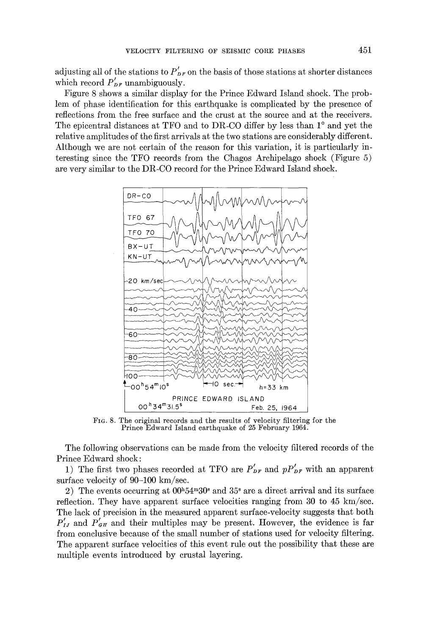adjusting all of the stations to  $P'_{p,r}$  on the basis of those stations at shorter distances which record  $P'_{p,r}$  unambiguously.

Figure 8 shows a similar display for the Prince Edward Island shock. The problem of phase identification for this earthquake is complicated by the presence of reflections from the free surface and the crust at the source and at the receivers. The epicentral distances at TFO and to DR-CO differ by less than  $1^{\circ}$  and yet the relative amplitudes of the first arrivals at the two stations are considerably different. Although we are not certain of the reason for this variation, it is particularly interesting since the TFO records from the Chagos Archipelago shock (Figure 5) are very similar to the DR-CO record for the Prince Edward Island shock.



FIG. 8. The original records and the results of velocity filtering for the Prince Edward Island earthquake of 25 February 1964.

The following observations can be made from the velocity filtered records of the Prince Edward shock:

1) The first two phases recorded at TFO are  $P'_{DF}$  and  $pP'_{DF}$  with an apparent surface velocity of 90-100 km/sec.

2) The events occurring at  $00^{\text{h}}54^{\text{m}}30^{\text{s}}$  and  $35^{\text{s}}$  are a direct arrival and its surface reflection. They have apparent surface velocities ranging from 30 to 45 km/sec. The lack of precision in the measured apparent surface-velocity suggests that both  $P'_{H}$  and  $P'_{GH}$  and their multiples may be present. However, the evidence is far from conclusive because of the small number of stations used for velocity filtering. The apparent surface velocities of this event rule out the possibility that these are multiple events introduced by crustal layering.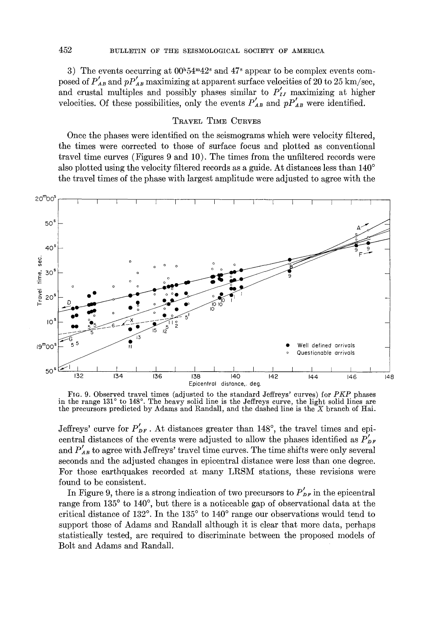3) The events occurring at  $00<sup>h</sup>54<sup>m</sup>42<sup>s</sup>$  and  $47<sup>s</sup>$  appear to be complex events composed of  $P'_{AB}$  and  $pP'_{AB}$  maximizing at apparent surface velocities of 20 to 25 km/sec, and crustal multiples and possibly phases similar to  $P'_{IJ}$  maximizing at higher velocities. Of these possibilities, only the events  $P'_{AB}$  and  $pP'_{AB}$  were identified.

# TRAVEL TIME CURVES

Once the phases were identified on the seismograms which were velocity filtered, the times were corrected to those of surface focus and plotted as conventional travel time curves (Figures 9 and 10). The times from the unfiltered records were also plotted using the velocity filtered records as a guide. At distances less than  $140^{\circ}$ the travel times of the phase with largest amplitude were adjusted to agree with the



FIG. 9. Observed travel times (adjusted to the standard Jeffreys' curves) for *PKP* phases in the range 131° to 148°. The heavy solid line is the Jeffreys curve, the light solid lines are the precursors predicted by Adams and Randall, and the dashed line is the X branch of Hai.

Jeffreys' curve for  $P'_{DF}$ . At distances greater than 148<sup>°</sup>, the travel times and epicentral distances of the events were adjusted to allow the phases identified as  $P'_{\text{DF}}$ and  $P'_{AB}$  to agree with Jeffreys' travel time curves. The time shifts were only several seconds and the adjusted changes in epicentral distance were less than one degree. For those earthquakes recorded at many LRSM stations, these revisions were found to be consistent.

In Figure 9, there is a strong indication of two precursors to  $P'_{\nu F}$  in the epicentral range from 135° to 140°, but there is a noticeable gap of observational data at the critical distance of  $132^{\circ}$ . In the  $135^{\circ}$  to  $140^{\circ}$  range our observations would tend to support those of Adams and Randall although it is clear that more data, perhaps statistically tested, are required to discriminate between the proposed models of Bolt and Adams and Randall.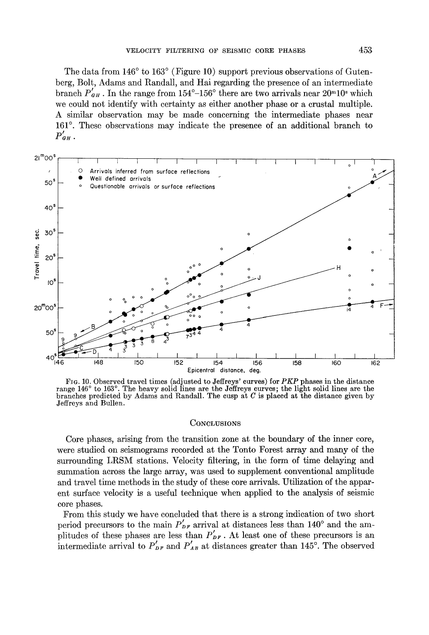The data from  $146^{\circ}$  to  $163^{\circ}$  (Figure 10) support previous observations of Gutenberg, Bolt, Adams and Randall, and Hai regarding the presence of an intermediate branch  $P'_{GH}$ . In the range from  $154^{\circ}-156^{\circ}$  there are two arrivals near  $20^{\mathrm{m}}10^{\mathrm{s}}$  which we could not identify with certainty as either another phase or a crustal multiple. A similar observation may be made concerning the intermediate phases near 161 ° . These observations may indicate the presence of an additional branch to  $P'_{GH}$ .



FIG. 10. Observed travel times (adjusted to Jeffreys' curves) for *PKP* phases in the distance range 146° to 163°. The heavy solid lines are the Jeffreys curves; the light solid lines are the branches predicted by Adams and Randall. The cusp at  $C$  is placed at the distance given by Jeffreys and Bullen.

#### **CONCLUSIONS**

Core phases, arising from the transition zone at the boundary of the inner core, were studied on seismograms recorded at the Tonto Forest array and many of the surrounding LRSM stations. Velocity filtering, in the form of time delaying and summation across the large array, was used to supplement conventional amplitude and travel time methods in the study of these core arrivals. Utilization of the apparent surface velocity is a useful technique when applied to the analysis of seismic core phases.

From this study we have concluded that there is a strong indication of two short period precursors to the main  $P'_{DF}$  arrival at distances less than 140° and the amplitudes of these phases are less than  $P'_{DF}$ . At least one of these precursors is an intermediate arrival to  $P'_{\textit{DF}}$  and  $P'_{\textit{AB}}$  at distances greater than 145<sup>°</sup>. The observed